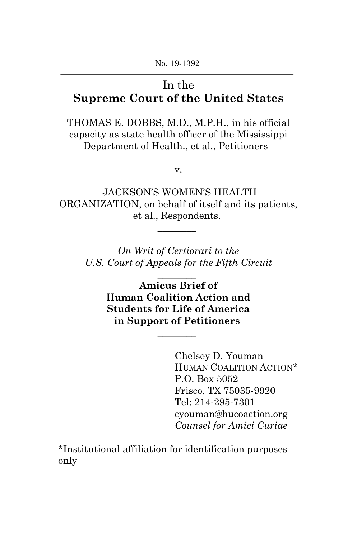No. 19-1392

# In the **Supreme Court of the United States**

THOMAS E. DOBBS, M.D., M.P.H., in his official capacity as state health officer of the Mississippi Department of Health., et al., Petitioners

v.

JACKSON'S WOMEN'S HEALTH ORGANIZATION, on behalf of itself and its patients, et al., Respondents.

 $\overline{\phantom{a}}$ 

*On Writ of Certiorari to the U.S. Court of Appeals for the Fifth Circuit*

 $\overline{\phantom{a}}$ 

**Amicus Brief of Human Coalition Action and Students for Life of America in Support of Petitioners**

 $\overline{\phantom{a}}$ 

Chelsey D. Youman HUMAN COALITION ACTION\* P.O. Box 5052 Frisco, TX 75035-9920 Tel: 214-295-7301 cyouman@hucoaction.org *Counsel for Amici Curiae*

\*Institutional affiliation for identification purposes only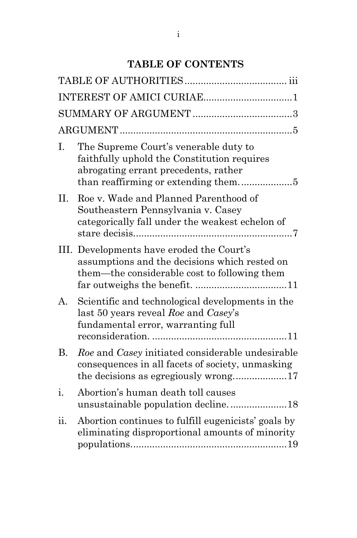# **TABLE OF CONTENTS**

| Ι.  | The Supreme Court's venerable duty to<br>faithfully uphold the Constitution requires<br>abrogating errant precedents, rather               |
|-----|--------------------------------------------------------------------------------------------------------------------------------------------|
| II. | Roe v. Wade and Planned Parenthood of<br>Southeastern Pennsylvania v. Casey<br>categorically fall under the weakest echelon of             |
|     | III. Developments have eroded the Court's<br>assumptions and the decisions which rested on<br>them—the considerable cost to following them |
| А.  | Scientific and technological developments in the<br>last 50 years reveal Roe and Casey's<br>fundamental error, warranting full             |
| В.  | Roe and Casey initiated considerable undesirable<br>consequences in all facets of society, unmasking                                       |
| 1.  | Abortion's human death toll causes<br>unsustainable population decline18                                                                   |
| ii. | Abortion continues to fulfill eugenicists' goals by<br>eliminating disproportional amounts of minority                                     |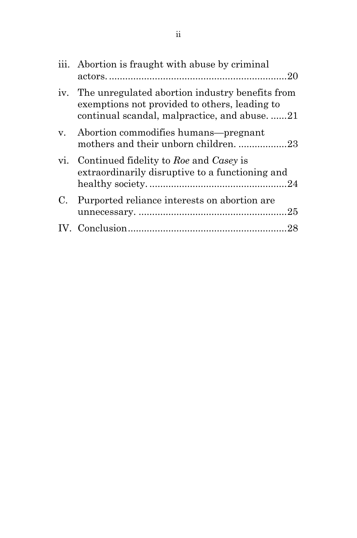|             | iii. Abortion is fraught with abuse by criminal                                                                                                 |
|-------------|-------------------------------------------------------------------------------------------------------------------------------------------------|
| iv.         | The unregulated abortion industry benefits from<br>exemptions not provided to others, leading to<br>continual scandal, malpractice, and abuse21 |
| $V_{\rm A}$ | Abortion commodifies humans—pregnant<br>mothers and their unborn children. 23                                                                   |
| vi.         | Continued fidelity to Roe and Casey is<br>extraordinarily disruptive to a functioning and                                                       |
| C.          | Purported reliance interests on abortion are                                                                                                    |
|             |                                                                                                                                                 |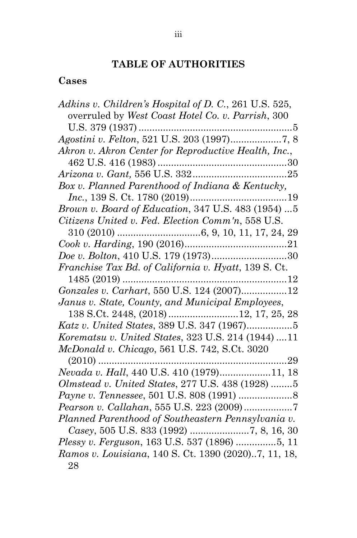# **TABLE OF AUTHORITIES**

# **Cases**

| Adkins v. Children's Hospital of D. C., 261 U.S. 525, |
|-------------------------------------------------------|
| overruled by West Coast Hotel Co. v. Parrish, 300     |
|                                                       |
|                                                       |
| Akron v. Akron Center for Reproductive Health, Inc.,  |
|                                                       |
|                                                       |
| Box v. Planned Parenthood of Indiana & Kentucky,      |
|                                                       |
| Brown v. Board of Education, 347 U.S. 483 (1954)  5   |
| Citizens United v. Fed. Election Comm'n, 558 U.S.     |
|                                                       |
|                                                       |
|                                                       |
| Franchise Tax Bd. of California v. Hyatt, 139 S. Ct.  |
|                                                       |
| Gonzales v. Carhart, 550 U.S. 124 (2007)12            |
| Janus v. State, County, and Municipal Employees,      |
|                                                       |
|                                                       |
| Korematsu v. United States, 323 U.S. 214 (1944) 11    |
| McDonald v. Chicago, 561 U.S. 742, S.Ct. 3020         |
| $(2010)$                                              |
| Nevada v. Hall, 440 U.S. 410 (1979)11, 18             |
| Olmstead v. United States, 277 U.S. 438 (1928) 5      |
|                                                       |
|                                                       |
| Planned Parenthood of Southeastern Pennsylvania v.    |
|                                                       |
| Plessy v. Ferguson, 163 U.S. 537 (1896) 5, 11         |
| Ramos v. Louisiana, 140 S. Ct. 1390 (2020)7, 11, 18,  |
| 28                                                    |
|                                                       |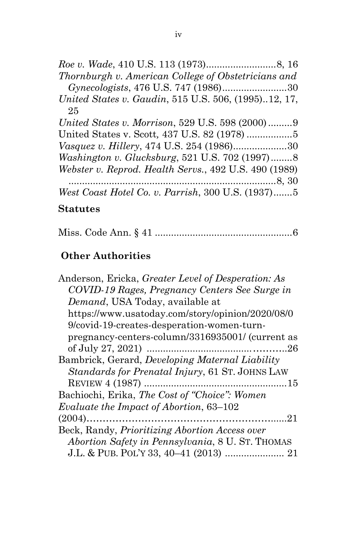*Roe v. Wade*, 410 U.S. 113 (1973)..........................8, 16 *Thornburgh v. American College of Obstetricians and Gynecologists*, 476 U.S. 747 (1986)........................30 *United States v. Gaudin*, 515 U.S. 506, (1995)..12, 17, 25

*United States v. Morrison*, 529 U.S. 598 (2000).........9 United States v. Scott*,* 437 U.S. 82 (1978) .................5 *Vasquez v. Hillery*, 474 U.S. 254 (1986)....................30 *Washington v. Glucksburg*, 521 U.S. 702 (1997)........8 *Webster v. Reprod. Health Servs.*, 492 U.S. 490 (1989) .............................................................................8, 30 *West Coast Hotel Co. v. Parrish*, 300 U.S. (1937).......5

#### **Statutes**

|--|--|--|

### **Other Authorities**

| Anderson, Ericka, Greater Level of Desperation: As     |
|--------------------------------------------------------|
| COVID-19 Rages, Pregnancy Centers See Surge in         |
| Demand, USA Today, available at                        |
| https://www.usatoday.com/story/opinion/2020/08/0       |
| 9/covid-19-creates-desperation-women-turn-             |
| pregnancy-centers-column/3316935001/ (current as       |
| 26                                                     |
| Bambrick, Gerard, Developing Maternal Liability        |
| <i>Standards for Prenatal Injury, 61 ST. JOHNS LAW</i> |
| .15                                                    |
| Bachiochi, Erika, The Cost of "Choice": Women          |
| Evaluate the Impact of Abortion, 63–102                |
| 21                                                     |
| Beck, Randy, <i>Prioritizing Abortion Access over</i>  |
| Abortion Safety in Pennsylvania, 8 U. ST. THOMAS       |
| J.L. & PUB. POL'Y 33, 40-41 (2013)  21                 |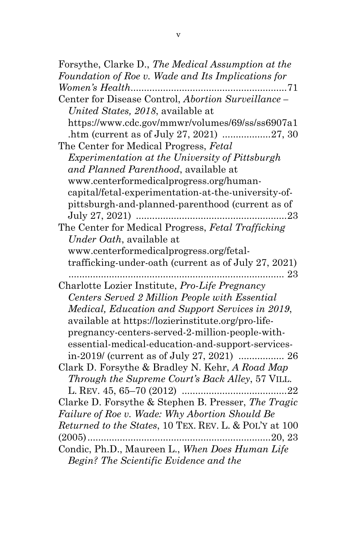Forsythe, Clarke D., *The Medical Assumption at the Foundation of Roe v. Wade and Its Implications for Women's Health*..........................................................71 Center for Disease Control, *Abortion Surveillance – United States, 2018*, available at https://www.cdc.gov/mmwr/volumes/69/ss/ss6907a1 .htm (current as of July 27, 2021) ..................27, 30 The Center for Medical Progress, *Fetal Experimentation at the University of Pittsburgh and Planned Parenthood*, available at www.centerformedicalprogress.org/humancapital/fetal-experimentation-at-the-university-ofpittsburgh-and-planned-parenthood (current as of July 27, 2021) ........................................................23 The Center for Medical Progress, *Fetal Trafficking Under Oath*, available at www.centerformedicalprogress.org/fetaltrafficking-under-oath (current as of July 27, 2021) ................................................................................ 23 Charlotte Lozier Institute, *Pro-Life Pregnancy Centers Served 2 Million People with Essential Medical, Education and Support Services in 2019*, available at https://lozierinstitute.org/pro-lifepregnancy-centers-served-2-million-people-withessential-medical-education-and-support-servicesin-2019/ (current as of July 27, 2021) ................. 26 Clark D. Forsythe & Bradley N. Kehr, *A Road Map Through the Supreme Court's Back Alley*, 57 VILL. L. REV. 45, 65–70 (2012) .......................................22 Clarke D. Forsythe & Stephen B. Presser, *The Tragic Failure of Roe v. Wade: Why Abortion Should Be Returned to the States*, 10 TEX. REV. L. & POL'Y at 100 (2005)....................................................................20, 23 Condic, Ph.D., Maureen L., *When Does Human Life Begin? The Scientific Evidence and the*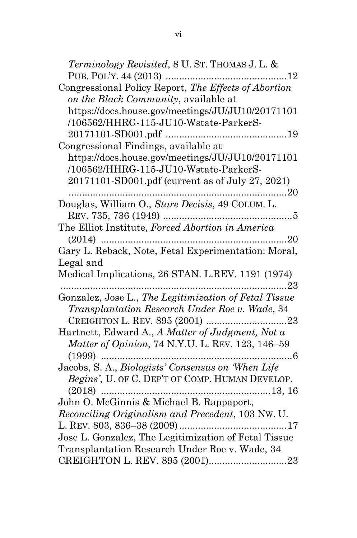*Terminology Revisited*, 8 U. ST. THOMAS J. L. & PUB. POL'Y. 44 (2013) .............................................12 Congressional Policy Report, *The Effects of Abortion on the Black Community*, available at https://docs.house.gov/meetings/JU/JU10/20171101 /106562/HHRG-115-JU10-Wstate-ParkerS-20171101-SD001.pdf .............................................19 Congressional Findings, available at https://docs.house.gov/meetings/JU/JU10/20171101 /106562/HHRG-115-JU10-Wstate-ParkerS-20171101-SD001.pdf (current as of July 27, 2021) .................................................................................20 Douglas, William O., *Stare Decisis*, 49 COLUM. L. REV. 735, 736 (1949) ................................................5 The Elliot Institute, *Forced Abortion in America* (2014) .....................................................................20 Gary L. Reback, Note, Fetal Experimentation: Moral, Legal and Medical Implications, 26 STAN. L.REV. 1191 (1974) ....................................................................................23 Gonzalez, Jose L., *The Legitimization of Fetal Tissue Transplantation Research Under Roe v. Wade*, 34 CREIGHTON L. REV. 895 (2001) ..............................23 Hartnett, Edward A., *A Matter of Judgment, Not a Matter of Opinion*, 74 N.Y.U. L. REV. 123, 146–59 (1999) .......................................................................6 Jacobs, S. A., *Biologists' Consensus on 'When Life Begins'*, U. OF C. DEP'T OF COMP. HUMAN DEVELOP. (2018) ...............................................................13, 16 John O. McGinnis & Michael B. Rappaport, *Reconciling Originalism and Precedent*, 103 NW. U. L. REV. 803, 836–38 (2009)........................................17 Jose L. Gonzalez, The Legitimization of Fetal Tissue Transplantation Research Under Roe v. Wade, 34 CREIGHTON L. REV. 895 (2001).............................23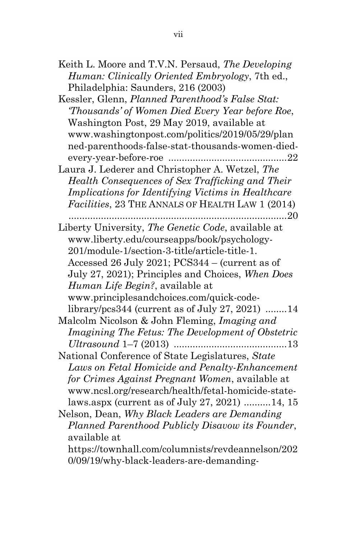| Human: Clinically Oriented Embryology, 7th ed.,                                                                                                                                                                                                              |
|--------------------------------------------------------------------------------------------------------------------------------------------------------------------------------------------------------------------------------------------------------------|
| Philadelphia: Saunders, 216 (2003)                                                                                                                                                                                                                           |
| Kessler, Glenn, Planned Parenthood's False Stat:                                                                                                                                                                                                             |
| "Thousands' of Women Died Every Year before Roe,                                                                                                                                                                                                             |
| Washington Post, 29 May 2019, available at                                                                                                                                                                                                                   |
| www.washingtonpost.com/politics/2019/05/29/plan                                                                                                                                                                                                              |
| ned-parenthoods-false-stat-thousands-women-died-                                                                                                                                                                                                             |
| every-year-before-roe<br>$\dots 22$                                                                                                                                                                                                                          |
| Laura J. Lederer and Christopher A. Wetzel, The                                                                                                                                                                                                              |
| Health Consequences of Sex Trafficking and Their                                                                                                                                                                                                             |
| Implications for Identifying Victims in Healthcare                                                                                                                                                                                                           |
| Facilities, 23 THE ANNALS OF HEALTH LAW 1 (2014)                                                                                                                                                                                                             |
|                                                                                                                                                                                                                                                              |
| Liberty University, The Genetic Code, available at                                                                                                                                                                                                           |
| www.liberty.edu/courseapps/book/psychology-                                                                                                                                                                                                                  |
| 201/module-1/section-3-title/article-title-1.                                                                                                                                                                                                                |
| Accessed 26 July 2021; PCS344 - (current as of                                                                                                                                                                                                               |
| July 27, 2021); Principles and Choices, When Does                                                                                                                                                                                                            |
| <i>Human Life Begin?</i> , available at                                                                                                                                                                                                                      |
| www.principlesandchoices.com/quick-code-                                                                                                                                                                                                                     |
| library/ $pcs344$ (current as of July 27, 2021)<br>14                                                                                                                                                                                                        |
| Malcolm Nicolson & John Fleming, Imaging and                                                                                                                                                                                                                 |
| Imagining The Fetus: The Development of Obstetric                                                                                                                                                                                                            |
|                                                                                                                                                                                                                                                              |
| National Conference of State Legislatures, State                                                                                                                                                                                                             |
| Laws on Fetal Homicide and Penalty-Enhancement                                                                                                                                                                                                               |
|                                                                                                                                                                                                                                                              |
|                                                                                                                                                                                                                                                              |
|                                                                                                                                                                                                                                                              |
|                                                                                                                                                                                                                                                              |
|                                                                                                                                                                                                                                                              |
|                                                                                                                                                                                                                                                              |
| available at                                                                                                                                                                                                                                                 |
| for Crimes Against Pregnant Women, available at<br>www.ncsl.org/research/health/fetal-homicide-state-<br>laws.aspx (current as of July 27, 2021) 14, 15<br>Nelson, Dean, Why Black Leaders are Demanding<br>Planned Parenthood Publicly Disavow its Founder, |

0/09/19/why-black-leaders-are-demanding-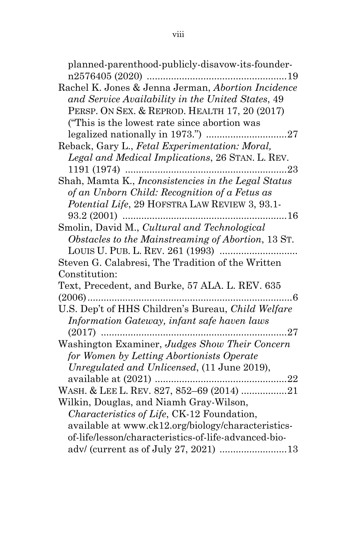| planned-parenthood-publicly-disavow-its-founder-<br>. 19                             |
|--------------------------------------------------------------------------------------|
| Rachel K. Jones & Jenna Jerman, Abortion Incidence                                   |
| and Service Availability in the United States, 49                                    |
| PERSP. ON SEX. & REPROD. HEALTH 17, 20 (2017)                                        |
| ("This is the lowest rate since abortion was                                         |
|                                                                                      |
| Reback, Gary L., Fetal Experimentation: Moral,                                       |
| Legal and Medical Implications, 26 STAN. L. REV.                                     |
|                                                                                      |
| Shah, Mamta K., Inconsistencies in the Legal Status                                  |
| of an Unborn Child: Recognition of a Fetus as                                        |
| Potential Life, 29 HOFSTRA LAW REVIEW 3, 93.1-                                       |
| 16                                                                                   |
| Smolin, David M., Cultural and Technological                                         |
| Obstacles to the Mainstreaming of Abortion, 13 ST.                                   |
|                                                                                      |
| Steven G. Calabresi, The Tradition of the Written                                    |
| Constitution:                                                                        |
| Text, Precedent, and Burke, 57 ALA. L. REV. 635                                      |
| .6<br>.                                                                              |
| U.S. Dep't of HHS Children's Bureau, Child Welfare                                   |
| Information Gateway, infant safe haven laws                                          |
| . 27                                                                                 |
| Washington Examiner, Judges Show Their Concern                                       |
| for Women by Letting Abortionists Operate                                            |
| Unregulated and Unlicensed, (11 June 2019),                                          |
|                                                                                      |
| WASH. & LEE L. REV. 827, 852-69 (2014) 21<br>Wilkin, Douglas, and Niamh Gray-Wilson, |
| <i>Characteristics of Life</i> , CK-12 Foundation,                                   |
| available at www.ck12.org/biology/characteristics-                                   |
| of-life/lesson/characteristics-of-life-advanced-bio-                                 |
| adv/ (current as of July 27, 2021) 13                                                |
|                                                                                      |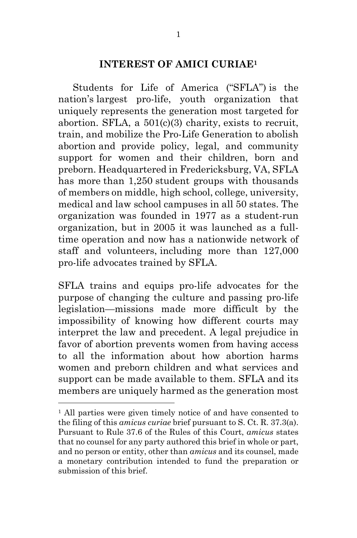#### **INTEREST OF AMICI CURIAE1**

Students for Life of America ("SFLA") is the nation's largest pro-life, youth organization that uniquely represents the generation most targeted for abortion. SFLA, a  $501(c)(3)$  charity, exists to recruit, train, and mobilize the Pro-Life Generation to abolish abortion and provide policy, legal, and community support for women and their children, born and preborn. Headquartered in Fredericksburg, VA, SFLA has more than 1,250 student groups with thousands of members on middle, high school, college, university, medical and law school campuses in all 50 states. The organization was founded in 1977 as a student-run organization, but in 2005 it was launched as a fulltime operation and now has a nationwide network of staff and volunteers, including more than 127,000 pro-life advocates trained by SFLA.

SFLA trains and equips pro-life advocates for the purpose of changing the culture and passing pro-life legislation—missions made more difficult by the impossibility of knowing how different courts may interpret the law and precedent. A legal prejudice in favor of abortion prevents women from having access to all the information about how abortion harms women and preborn children and what services and support can be made available to them. SFLA and its members are uniquely harmed as the generation most

<sup>&</sup>lt;sup>1</sup> All parties were given timely notice of and have consented to the filing of this *amicus curiae* brief pursuant to S. Ct. R. 37.3(a). Pursuant to Rule 37.6 of the Rules of this Court, *amicus* states that no counsel for any party authored this brief in whole or part, and no person or entity, other than *amicus* and its counsel, made a monetary contribution intended to fund the preparation or submission of this brief.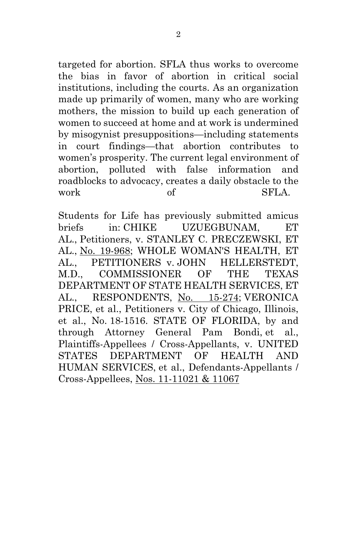targeted for abortion. SFLA thus works to overcome the bias in favor of abortion in critical social institutions, including the courts. As an organization made up primarily of women, many who are working mothers, the mission to build up each generation of women to succeed at home and at work is undermined by misogynist presuppositions—including statements in court findings—that abortion contributes to women's prosperity. The current legal environment of abortion, polluted with false information and roadblocks to advocacy, creates a daily obstacle to the work of SFLA.

Students for Life has previously submitted amicus briefs in: CHIKE UZUEGBUNAM, ET AL., Petitioners, v. STANLEY C. PRECZEWSKI, ET AL., No. 19-968; WHOLE WOMAN'S HEALTH, ET AL., PETITIONERS v. JOHN HELLERSTEDT, M.D., COMMISSIONER OF THE TEXAS DEPARTMENT OF STATE HEALTH SERVICES, ET AL., RESPONDENTS, No. 15-274; VERONICA PRICE, et al., Petitioners v. City of Chicago, Illinois, et al., No. 18-1516. STATE OF FLORIDA, by and through Attorney General Pam Bondi, et al., Plaintiffs-Appellees / Cross-Appellants, v. UNITED STATES DEPARTMENT OF HEALTH AND HUMAN SERVICES, et al., Defendants-Appellants / Cross-Appellees, Nos. 11-11021 & 11067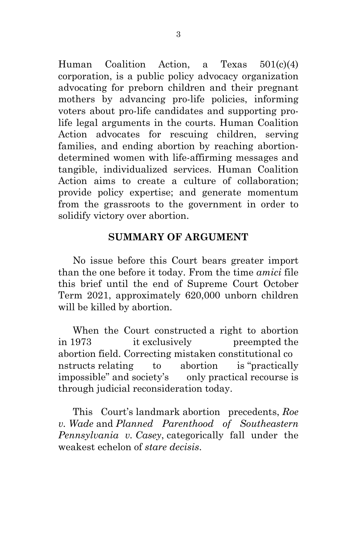Human Coalition Action, a Texas 501(c)(4) corporation, is a public policy advocacy organization advocating for preborn children and their pregnant mothers by advancing pro-life policies, informing voters about pro-life candidates and supporting prolife legal arguments in the courts. Human Coalition Action advocates for rescuing children, serving families, and ending abortion by reaching abortiondetermined women with life-affirming messages and tangible, individualized services. Human Coalition Action aims to create a culture of collaboration; provide policy expertise; and generate momentum from the grassroots to the government in order to solidify victory over abortion.

#### **SUMMARY OF ARGUMENT**

No issue before this Court bears greater import than the one before it today. From the time *amici* file this brief until the end of Supreme Court October Term 2021, approximately 620,000 unborn children will be killed by abortion.

When the Court constructed a right to abortion in 1973 it exclusively preempted the abortion field. Correcting mistaken constitutional co nstructs relating to abortion is "practically impossible" and society's only practical recourse is through judicial reconsideration today.

This Court's landmark abortion precedents, *Roe v. Wade* and *Planned Parenthood of Southeastern Pennsylvania v. Casey*, categorically fall under the weakest echelon of *stare decisis*.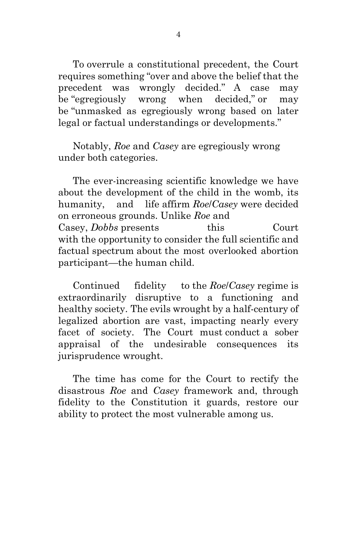To overrule a constitutional precedent, the Court requires something "over and above the belief that the precedent was wrongly decided." A case may be "egregiously wrong when decided," or may be "unmasked as egregiously wrong based on later legal or factual understandings or developments."

Notably, *Roe* and *Casey* are egregiously wrong under both categories.

The ever-increasing scientific knowledge we have about the development of the child in the womb, its humanity, and life affirm *Roe*/*Casey* were decided on erroneous grounds. Unlike *Roe* and Casey, *Dobbs* presents this Court with the opportunity to consider the full scientific and factual spectrum about the most overlooked abortion participant—the human child.

Continued fidelity to the *Roe*/*Casey* regime is extraordinarily disruptive to a functioning and healthy society. The evils wrought by a half-century of legalized abortion are vast, impacting nearly every facet of society. The Court must conduct a sober appraisal of the undesirable consequences its jurisprudence wrought.

The time has come for the Court to rectify the disastrous *Roe* and *Casey* framework and, through fidelity to the Constitution it guards, restore our ability to protect the most vulnerable among us.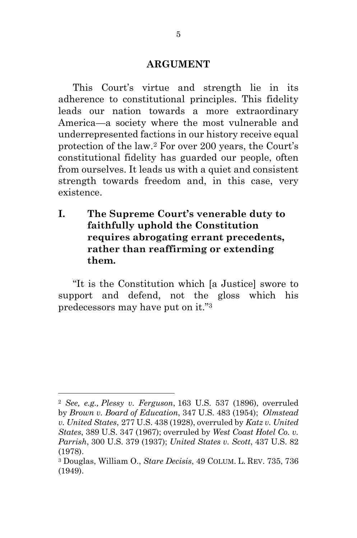#### **ARGUMENT**

This Court's virtue and strength lie in its adherence to constitutional principles. This fidelity leads our nation towards a more extraordinary America—a society where the most vulnerable and underrepresented factions in our history receive equal protection of the law.2 For over 200 years, the Court's constitutional fidelity has guarded our people, often from ourselves. It leads us with a quiet and consistent strength towards freedom and, in this case, very existence.

**I. The Supreme Court's venerable duty to faithfully uphold the Constitution requires abrogating errant precedents, rather than reaffirming or extending them.**

"It is the Constitution which [a Justice] swore to support and defend, not the gloss which his predecessors may have put on it."3

<sup>2</sup> *See, e.g., Plessy v. Ferguson*, 163 U.S. 537 (1896), overruled by *Brown v. Board of Education*, 347 U.S. 483 (1954); *Olmstead v. United States*, 277 U.S. 438 (1928), overruled by *Katz v. United States*, 389 U.S. 347 (1967); overruled by *West Coast Hotel Co. v. Parrish*, 300 U.S. 379 (1937); *United States v. Scott*, 437 U.S. 82 (1978).

<sup>3</sup> Douglas, William O., *Stare Decisis*, 49 COLUM. L. REV. 735, 736 (1949).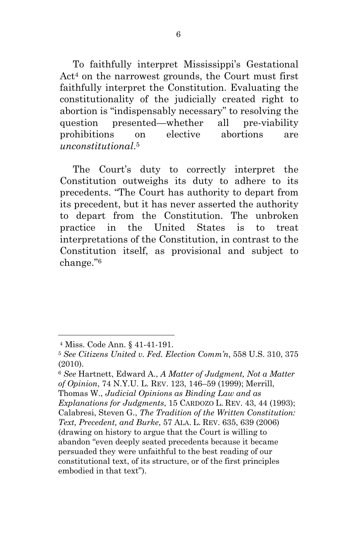To faithfully interpret Mississippi's Gestational Act<sup>4</sup> on the narrowest grounds, the Court must first faithfully interpret the Constitution. Evaluating the constitutionality of the judicially created right to abortion is "indispensably necessary" to resolving the question presented—whether all pre-viability prohibitions on elective abortions are *unconstitutional*.5

The Court's duty to correctly interpret the Constitution outweighs its duty to adhere to its precedents. "The Court has authority to depart from its precedent, but it has never asserted the authority to depart from the Constitution. The unbroken practice in the United States is to treat interpretations of the Constitution, in contrast to the Constitution itself, as provisional and subject to change."6

<sup>4</sup> Miss. Code Ann. § 41-41-191.

<sup>5</sup> *See Citizens United v. Fed. Election Comm'n*, 558 U.S. 310, 375 (2010).

<sup>6</sup> *See* Hartnett, Edward A., *A Matter of Judgment, Not a Matter of Opinion*, 74 N.Y.U. L. REV. 123, 146–59 (1999); Merrill, Thomas W., *Judicial Opinions as Binding Law and as Explanations for Judgments*, 15 CARDOZO L. REV. 43, 44 (1993); Calabresi, Steven G., *The Tradition of the Written Constitution: Text, Precedent, and Burke*, 57 ALA. L. REV. 635, 639 (2006) (drawing on history to argue that the Court is willing to abandon "even deeply seated precedents because it became persuaded they were unfaithful to the best reading of our constitutional text, of its structure, or of the first principles embodied in that text").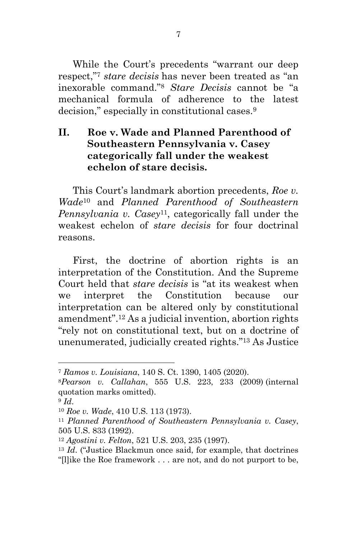While the Court's precedents "warrant our deep respect,"7 *stare decisis* has never been treated as "an inexorable command."8 *Stare Decisis* cannot be "a mechanical formula of adherence to the latest decision," especially in constitutional cases.9

# **II. Roe v. Wade and Planned Parenthood of Southeastern Pennsylvania v. Casey categorically fall under the weakest echelon of stare decisis.**

This Court's landmark abortion precedents, *Roe v. Wade*<sup>10</sup> and *Planned Parenthood of Southeastern Pennsylvania v. Casey*11, categorically fall under the weakest echelon of *stare decisis* for four doctrinal reasons.

First, the doctrine of abortion rights is an interpretation of the Constitution. And the Supreme Court held that *stare decisis* is "at its weakest when we interpret the Constitution because our interpretation can be altered only by constitutional amendment".12 As a judicial invention, abortion rights "rely not on constitutional text, but on a doctrine of unenumerated, judicially created rights."13 As Justice

<sup>7</sup> *Ramos v. Louisiana*, 140 S. Ct. 1390, 1405 (2020).

<sup>8</sup>*Pearson v. Callahan*, 555 U.S. 223, 233 (2009) (internal quotation marks omitted).

<sup>9</sup> *Id*.

<sup>10</sup> *Roe v. Wade*, 410 U.S. 113 (1973).

<sup>11</sup> *Planned Parenthood of Southeastern Pennsylvania v. Casey*, 505 U.S. 833 (1992).

<sup>12</sup> *Agostini v. Felton*, 521 U.S. 203, 235 (1997).

<sup>13</sup> *Id*. ("Justice Blackmun once said, for example, that doctrines "[l]ike the Roe framework . . . are not, and do not purport to be,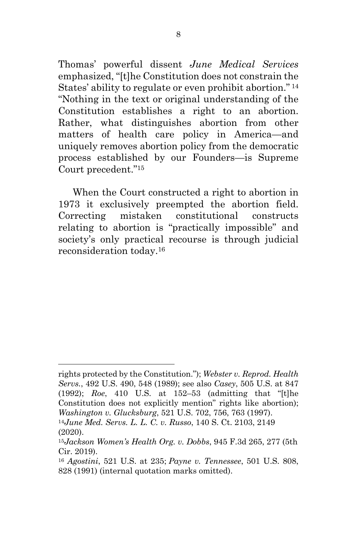Thomas' powerful dissent *June Medical Services* emphasized, "[t]he Constitution does not constrain the States' ability to regulate or even prohibit abortion." <sup>14</sup> "Nothing in the text or original understanding of the Constitution establishes a right to an abortion. Rather, what distinguishes abortion from other matters of health care policy in America—and uniquely removes abortion policy from the democratic process established by our Founders—is Supreme Court precedent."15

When the Court constructed a right to abortion in 1973 it exclusively preempted the abortion field. Correcting mistaken constitutional constructs relating to abortion is "practically impossible" and society's only practical recourse is through judicial reconsideration today.16

rights protected by the Constitution."); *Webster v. Reprod. Health Servs.*, 492 U.S. 490, 548 (1989); see also *Casey*, 505 U.S. at 847 (1992); *Roe*, 410 U.S. at 152–53 (admitting that "[t]he Constitution does not explicitly mention" rights like abortion); *Washington v. Glucksburg*, 521 U.S. 702, 756, 763 (1997). <sup>14</sup>*June Med. Servs. L. L. C. v. Russo*, 140 S. Ct. 2103, 2149

<sup>(2020).</sup>

<sup>15</sup>*Jackson Women's Health Org. v. Dobbs*, 945 F.3d 265, 277 (5th Cir. 2019).

<sup>16</sup> *Agostini*, 521 U.S. at 235; *Payne v. Tennessee*, 501 U.S. 808, 828 (1991) (internal quotation marks omitted).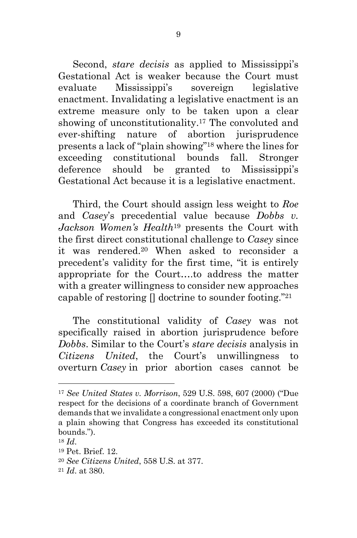Second, *stare decisis* as applied to Mississippi's Gestational Act is weaker because the Court must evaluate Mississippi's sovereign legislative enactment. Invalidating a legislative enactment is an extreme measure only to be taken upon a clear showing of unconstitutionality.17 The convoluted and ever-shifting nature of abortion jurisprudence presents a lack of "plain showing"18 where the lines for exceeding constitutional bounds fall. Stronger deference should be granted to Mississippi's Gestational Act because it is a legislative enactment.

Third, the Court should assign less weight to *Roe* and *Casey*'s precedential value because *Dobbs v. Jackson Women's Health*<sup>19</sup> presents the Court with the first direct constitutional challenge to *Casey* since it was rendered.20 When asked to reconsider a precedent's validity for the first time, "it is entirely appropriate for the Court….to address the matter with a greater willingness to consider new approaches capable of restoring  $\prod$  doctrine to sounder footing."<sup>21</sup>

The constitutional validity of *Casey* was not specifically raised in abortion jurisprudence before *Dobbs*. Similar to the Court's *stare decisis* analysis in *Citizens United*, the Court's unwillingness to overturn *Casey* in prior abortion cases cannot be

<sup>17</sup> *See United States v. Morrison*, 529 U.S. 598, 607 (2000) ("Due respect for the decisions of a coordinate branch of Government demands that we invalidate a congressional enactment only upon a plain showing that Congress has exceeded its constitutional bounds.").

<sup>18</sup> *Id*.

<sup>19</sup> Pet. Brief. 12.

<sup>20</sup> *See Citizens United*, 558 U.S. at 377.

<sup>21</sup> *Id*. at 380.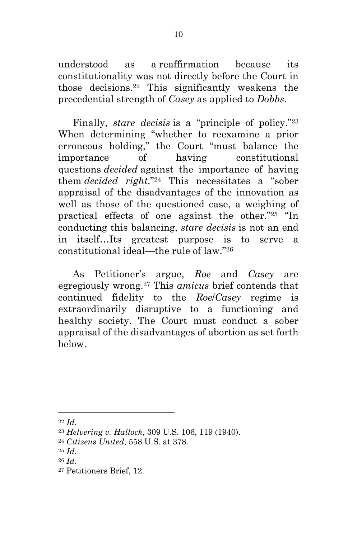understood as a reaffirmation because its constitutionality was not directly before the Court in those decisions.22 This significantly weakens the precedential strength of *Casey* as applied to *Dobbs*.

Finally, *stare decisis* is a "principle of policy."23 When determining "whether to reexamine a prior erroneous holding," the Court "must balance the importance of having constitutional questions *decided* against the importance of having them *decided right*."24 This necessitates a "sober appraisal of the disadvantages of the innovation as well as those of the questioned case, a weighing of practical effects of one against the other."25 "In conducting this balancing, *stare decisis* is not an end in itself…Its greatest purpose is to serve a constitutional ideal—the rule of law."26

As Petitioner's argue, *Roe* and *Casey* are egregiously wrong.27 This *amicus* brief contends that continued fidelity to the *Roe*/*Casey* regime is extraordinarily disruptive to a functioning and healthy society. The Court must conduct a sober appraisal of the disadvantages of abortion as set forth below.

<sup>27</sup> Petitioners Brief, 12.

<sup>22</sup> *Id*. 23 *Helvering v. Hallock*, 309 U.S. 106, 119 (1940).

<sup>24</sup> *Citizens United*, 558 U.S. at 378.

<sup>25</sup> *Id*.

<sup>26</sup> *Id*.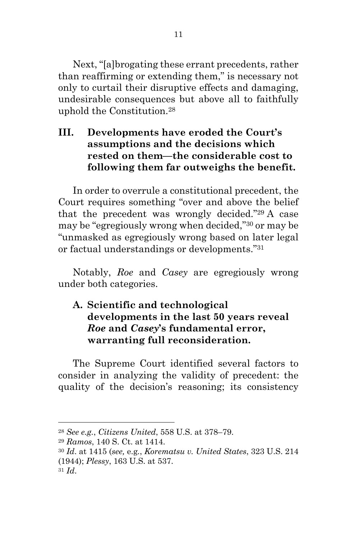Next, "[a]brogating these errant precedents, rather than reaffirming or extending them," is necessary not only to curtail their disruptive effects and damaging, undesirable consequences but above all to faithfully uphold the Constitution.28

# **III. Developments have eroded the Court's assumptions and the decisions which rested on them—the considerable cost to following them far outweighs the benefit.**

In order to overrule a constitutional precedent, the Court requires something "over and above the belief that the precedent was wrongly decided."29 A case may be "egregiously wrong when decided,"30 or may be "unmasked as egregiously wrong based on later legal or factual understandings or developments."31

Notably, *Roe* and *Casey* are egregiously wrong under both categories.

# **A. Scientific and technological developments in the last 50 years reveal** *Roe* **and** *Casey***'s fundamental error, warranting full reconsideration.**

The Supreme Court identified several factors to consider in analyzing the validity of precedent: the quality of the decision's reasoning; its consistency

<sup>28</sup> *See e.g.*, *Citizens United*, 558 U.S. at 378–79.

<sup>29</sup> *Ramos*, 140 S. Ct. at 1414.

<sup>30</sup> *Id*. at 1415 (*see,* e.g*.*, *Korematsu v. United States*, 323 U.S. 214

<sup>(1944);</sup> *Plessy*, 163 U.S. at 537.

<sup>31</sup> *Id*.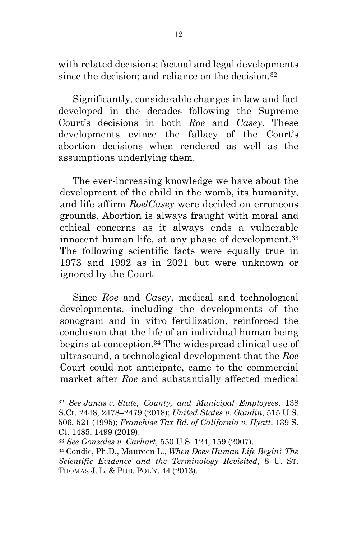with related decisions; factual and legal developments since the decision; and reliance on the decision.<sup>32</sup>

Significantly, considerable changes in law and fact developed in the decades following the Supreme Court's decisions in both *Roe* and *Casey*. These developments evince the fallacy of the Court's abortion decisions when rendered as well as the assumptions underlying them.

The ever-increasing knowledge we have about the development of the child in the womb, its humanity, and life affirm *Roe*/*Casey* were decided on erroneous grounds. Abortion is always fraught with moral and ethical concerns as it always ends a vulnerable innocent human life, at any phase of development.<sup>33</sup> The following scientific facts were equally true in 1973 and 1992 as in 2021 but were unknown or ignored by the Court.

Since *Roe* and *Casey*, medical and technological developments, including the developments of the sonogram and in vitro fertilization, reinforced the conclusion that the life of an individual human being begins at conception.34 The widespread clinical use of ultrasound, a technological development that the *Roe* Court could not anticipate, came to the commercial market after *Roe* and substantially affected medical

<sup>32</sup> *See Janus v. State, County, and Municipal Employees*, 138 S.Ct. 2448, 2478–2479 (2018); *United States v. Gaudin*, 515 U.S. 506, 521 (1995); *Franchise Tax Bd. of California v. Hyatt*, 139 S. Ct. 1485, 1499 (2019).

<sup>33</sup> *See Gonzales v. Carhart*, 550 U.S. 124, 159 (2007).

<sup>34</sup> Condic, Ph.D., Maureen L., *When Does Human Life Begin? The Scientific Evidence and the Terminology Revisited*, 8 U. ST. THOMAS J. L. & PUB. POL'Y. 44 (2013).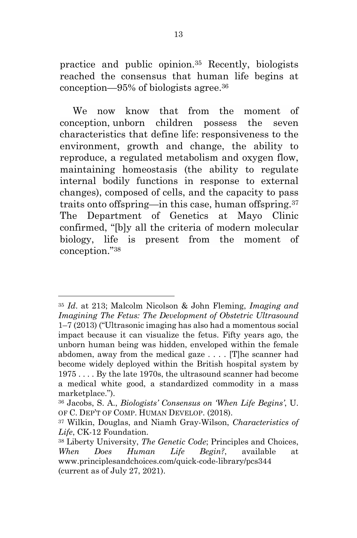practice and public opinion.35 Recently, biologists reached the consensus that human life begins at conception—95% of biologists agree.36

We now know that from the moment of conception, unborn children possess the seven characteristics that define life: responsiveness to the environment, growth and change, the ability to reproduce, a regulated metabolism and oxygen flow, maintaining homeostasis (the ability to regulate internal bodily functions in response to external changes), composed of cells, and the capacity to pass traits onto offspring—in this case, human offspring.37 The Department of Genetics at Mayo Clinic confirmed, "[b]y all the criteria of modern molecular biology, life is present from the moment of conception."38

<sup>35</sup> *Id*. at 213; Malcolm Nicolson & John Fleming, *Imaging and Imagining The Fetus: The Development of Obstetric Ultrasound* 1–7 (2013) ("Ultrasonic imaging has also had a momentous social impact because it can visualize the fetus. Fifty years ago, the unborn human being was hidden, enveloped within the female abdomen, away from the medical gaze . . . . [T]he scanner had become widely deployed within the British hospital system by 1975 . . . . By the late 1970s, the ultrasound scanner had become a medical white good, a standardized commodity in a mass marketplace.").

<sup>36</sup> Jacobs, S. A., *Biologists' Consensus on 'When Life Begins'*, U. OF C. DEP'T OF COMP. HUMAN DEVELOP. (2018).

<sup>37</sup> Wilkin, Douglas, and Niamh Gray-Wilson, *Characteristics of Life*, CK-12 Foundation.

<sup>38</sup> Liberty University, *The Genetic Code*; Principles and Choices, *When Does Human Life Begin?*, available at www.principlesandchoices.com/quick-code-library/pcs344 (current as of July 27, 2021).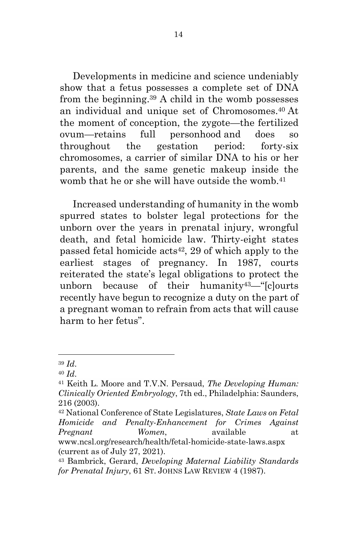Developments in medicine and science undeniably show that a fetus possesses a complete set of DNA from the beginning.39 A child in the womb possesses an individual and unique set of Chromosomes.40 At the moment of conception, the zygote—the fertilized ovum—retains full personhood and does so throughout the gestation period: forty-six chromosomes, a carrier of similar DNA to his or her parents, and the same genetic makeup inside the womb that he or she will have outside the womb.<sup>41</sup>

Increased understanding of humanity in the womb spurred states to bolster legal protections for the unborn over the years in prenatal injury, wrongful death, and fetal homicide law. Thirty-eight states passed fetal homicide  $\arctan 42$ , 29 of which apply to the earliest stages of pregnancy. In 1987, courts reiterated the state's legal obligations to protect the unborn because of their humanity43—"[c]ourts recently have begun to recognize a duty on the part of a pregnant woman to refrain from acts that will cause harm to her fetus".

<sup>39</sup> *Id*.

<sup>40</sup> *Id*.

<sup>41</sup> Keith L. Moore and T.V.N. Persaud, *The Developing Human: Clinically Oriented Embryology*, 7th ed., Philadelphia: Saunders, 216 (2003).

<sup>42</sup> National Conference of State Legislatures, *State Laws on Fetal Homicide and Penalty-Enhancement for Crimes Against Pregnant Women*, available at www.ncsl.org/research/health/fetal-homicide-state-laws.aspx (current as of July 27, 2021).

<sup>43</sup> Bambrick, Gerard, *Developing Maternal Liability Standards for Prenatal Injury*, 61 ST. JOHNS LAW REVIEW 4 (1987).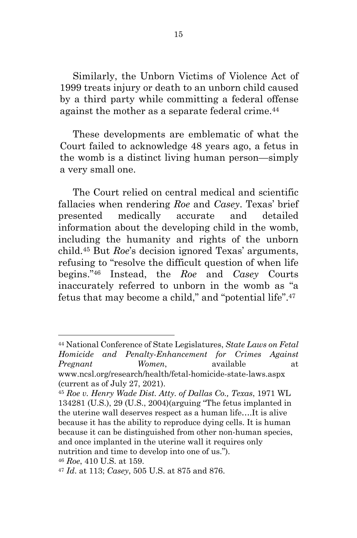Similarly, the Unborn Victims of Violence Act of 1999 treats injury or death to an unborn child caused by a third party while committing a federal offense against the mother as a separate federal crime.<sup>44</sup>

These developments are emblematic of what the Court failed to acknowledge 48 years ago, a fetus in the womb is a distinct living human person—simply a very small one.

The Court relied on central medical and scientific fallacies when rendering *Roe* and *Casey*. Texas' brief presented medically accurate and detailed information about the developing child in the womb, including the humanity and rights of the unborn child.45 But *Roe*'s decision ignored Texas' arguments, refusing to "resolve the difficult question of when life begins."46 Instead, the *Roe* and *Casey* Courts inaccurately referred to unborn in the womb as "a fetus that may become a child," and "potential life".47

<sup>44</sup> National Conference of State Legislatures, *State Laws on Fetal Homicide and Penalty-Enhancement for Crimes Against Pregnant Women*, available at www.ncsl.org/research/health/fetal-homicide-state-laws.aspx (current as of July 27, 2021).

<sup>45</sup> *Roe v. Henry Wade Dist. Atty. of Dallas Co., Texas*, 1971 WL 134281 (U.S.), 29 (U.S., 2004)(arguing "The fetus implanted in the uterine wall deserves respect as a human life….It is alive because it has the ability to reproduce dying cells. It is human because it can be distinguished from other non-human species, and once implanted in the uterine wall it requires only nutrition and time to develop into one of us.").

<sup>46</sup> *Roe*, 410 U.S. at 159.

<sup>47</sup> *Id*. at 113; *Casey*, 505 U.S. at 875 and 876.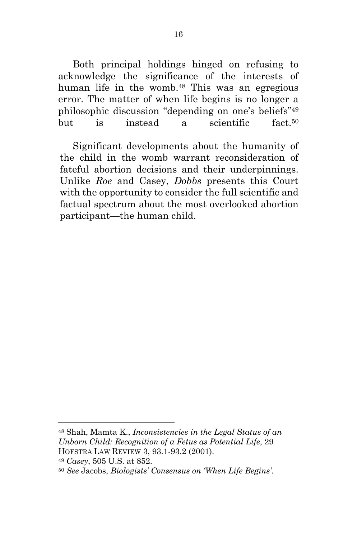Both principal holdings hinged on refusing to acknowledge the significance of the interests of human life in the womb.48 This was an egregious error. The matter of when life begins is no longer a philosophic discussion "depending on one's beliefs"49 but is instead a scientific fact.<sup>50</sup>

Significant developments about the humanity of the child in the womb warrant reconsideration of fateful abortion decisions and their underpinnings. Unlike *Roe* and Casey, *Dobbs* presents this Court with the opportunity to consider the full scientific and factual spectrum about the most overlooked abortion participant—the human child.

<sup>48</sup> Shah, Mamta K., *Inconsistencies in the Legal Status of an Unborn Child: Recognition of a Fetus as Potential Life*, 29 HOFSTRA LAW REVIEW 3, 93.1-93.2 (2001).

<sup>49</sup> *Casey*, 505 U.S. at 852.

<sup>50</sup> *See* Jacobs, *Biologists' Consensus on 'When Life Begins'.*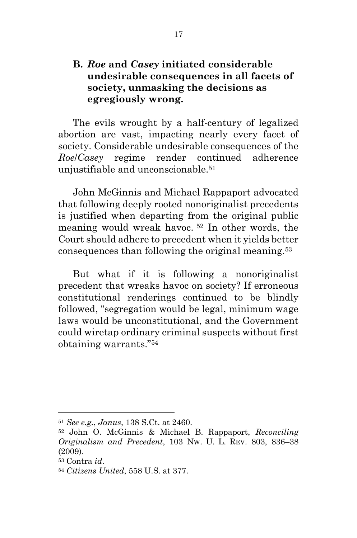## **B.** *Roe* **and** *Casey* **initiated considerable undesirable consequences in all facets of society, unmasking the decisions as egregiously wrong.**

The evils wrought by a half-century of legalized abortion are vast, impacting nearly every facet of society. Considerable undesirable consequences of the *Roe*/*Casey* regime render continued adherence unjustifiable and unconscionable.<sup>51</sup>

John McGinnis and Michael Rappaport advocated that following deeply rooted nonoriginalist precedents is justified when departing from the original public meaning would wreak havoc. <sup>52</sup> In other words, the Court should adhere to precedent when it yields better consequences than following the original meaning.53

But what if it is following a nonoriginalist precedent that wreaks havoc on society? If erroneous constitutional renderings continued to be blindly followed, "segregation would be legal, minimum wage laws would be unconstitutional, and the Government could wiretap ordinary criminal suspects without first obtaining warrants."54

<sup>51</sup> *See e.g.*, *Janus*, 138 S.Ct. at 2460.

<sup>52</sup> John O. McGinnis & Michael B. Rappaport, *Reconciling Originalism and Precedent*, 103 NW. U. L. REV. 803, 836–38 (2009).

<sup>53</sup> Contra *id*.

<sup>54</sup> *Citizens United*, 558 U.S. at 377.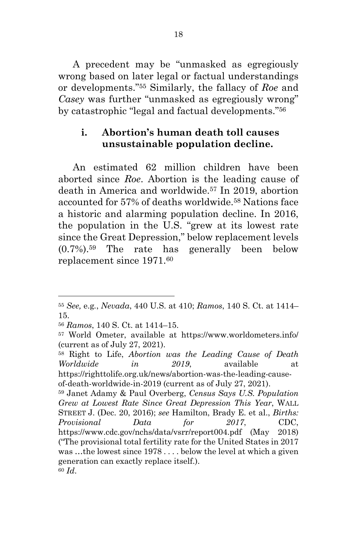A precedent may be "unmasked as egregiously wrong based on later legal or factual understandings or developments."55 Similarly, the fallacy of *Roe* and *Casey* was further "unmasked as egregiously wrong" by catastrophic "legal and factual developments."56

#### **i. Abortion's human death toll causes unsustainable population decline.**

An estimated 62 million children have been aborted since *Roe*. Abortion is the leading cause of death in America and worldwide.57 In 2019, abortion accounted for 57% of deaths worldwide.58 Nations face a historic and alarming population decline. In 2016, the population in the U.S. "grew at its lowest rate since the Great Depression," below replacement levels  $(0.7\%)$ <sup>59</sup> The rate has generally been below replacement since 1971.60

<sup>58</sup> Right to Life, *Abortion was the Leading Cause of Death Worldwide in 2019*, available at https://righttolife.org.uk/news/abortion-was-the-leading-causeof-death-worldwide-in-2019 (current as of July 27, 2021).

<sup>55</sup> *See,* e.g*.*, *Nevada*, 440 U.S. at 410; *Ramos*, 140 S. Ct. at 1414– 15.

<sup>56</sup> *Ramos*, 140 S. Ct. at 1414–15.

<sup>57</sup> World Ometer, available at https://www.worldometers.info/ (current as of July 27, 2021).

<sup>59</sup> Janet Adamy & Paul Overberg, *Census Says U.S. Population Grew at Lowest Rate Since Great Depression This Year*, WALL STREET J. (Dec. 20, 2016); *see* Hamilton, Brady E. et al., *Births: Provisional Data for 2017*, CDC, https://www.cdc.gov/nchs/data/vsrr/report004.pdf (May 2018) ("The provisional total fertility rate for the United States in 2017 was …the lowest since 1978 . . . . below the level at which a given generation can exactly replace itself.). <sup>60</sup> *Id*.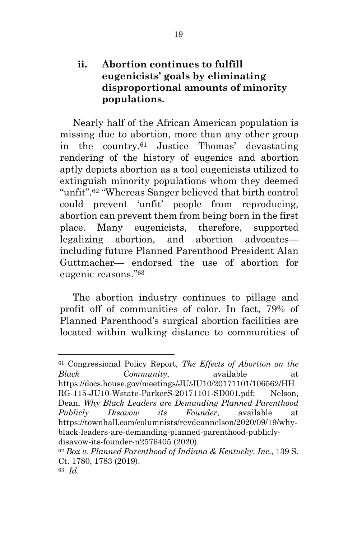# **ii. Abortion continues to fulfill eugenicists' goals by eliminating disproportional amounts of minority populations.**

Nearly half of the African American population is missing due to abortion, more than any other group in the country.61 Justice Thomas' devastating rendering of the history of eugenics and abortion aptly depicts abortion as a tool eugenicists utilized to extinguish minority populations whom they deemed "unfit".62 "Whereas Sanger believed that birth control could prevent 'unfit' people from reproducing, abortion can prevent them from being born in the first place. Many eugenicists, therefore, supported legalizing abortion, and abortion advocates including future Planned Parenthood President Alan Guttmacher— endorsed the use of abortion for eugenic reasons."63

The abortion industry continues to pillage and profit off of communities of color. In fact, 79% of Planned Parenthood's surgical abortion facilities are located within walking distance to communities of

<sup>61</sup> Congressional Policy Report, *The Effects of Abortion on the Black Community*, available at https://docs.house.gov/meetings/JU/JU10/20171101/106562/HH RG-115-JU10-Wstate-ParkerS-20171101-SD001.pdf; Nelson, Dean, *Why Black Leaders are Demanding Planned Parenthood Publicly Disavow its Founder*, available at https://townhall.com/columnists/revdeannelson/2020/09/19/whyblack-leaders-are-demanding-planned-parenthood-publiclydisavow-its-founder-n2576405 (2020).

<sup>62</sup> *Box v. Planned Parenthood of Indiana & Kentucky, Inc.*, 139 S. Ct. 1780, 1783 (2019).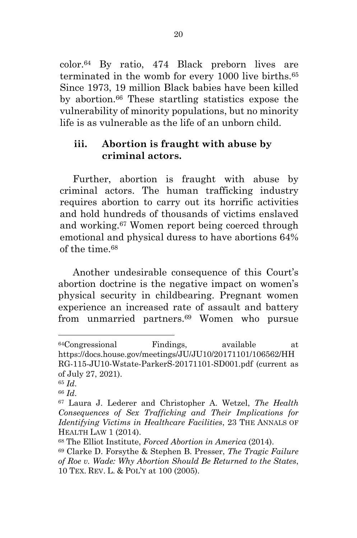color.64 By ratio, 474 Black preborn lives are terminated in the womb for every 1000 live births.65 Since 1973, 19 million Black babies have been killed by abortion.66 These startling statistics expose the vulnerability of minority populations, but no minority life is as vulnerable as the life of an unborn child.

#### **iii. Abortion is fraught with abuse by criminal actors.**

Further, abortion is fraught with abuse by criminal actors. The human trafficking industry requires abortion to carry out its horrific activities and hold hundreds of thousands of victims enslaved and working.67 Women report being coerced through emotional and physical duress to have abortions 64% of the time  $68$ 

Another undesirable consequence of this Court's abortion doctrine is the negative impact on women's physical security in childbearing. Pregnant women experience an increased rate of assault and battery from unmarried partners.69 Women who pursue

<sup>64</sup>Congressional Findings, available at https://docs.house.gov/meetings/JU/JU10/20171101/106562/HH RG-115-JU10-Wstate-ParkerS-20171101-SD001.pdf (current as of July 27, 2021).

<sup>65</sup> *Id*. 66 *Id*.

<sup>67</sup> Laura J. Lederer and Christopher A. Wetzel, *The Health Consequences of Sex Trafficking and Their Implications for Identifying Victims in Healthcare Facilities*, 23 THE ANNALS OF HEALTH LAW 1 (2014).

<sup>68</sup> The Elliot Institute, *Forced Abortion in America* (2014).

<sup>69</sup> Clarke D. Forsythe & Stephen B. Presser, *The Tragic Failure of Roe v. Wade: Why Abortion Should Be Returned to the States*, 10 TEX. REV. L. & POL'Y at 100 (2005).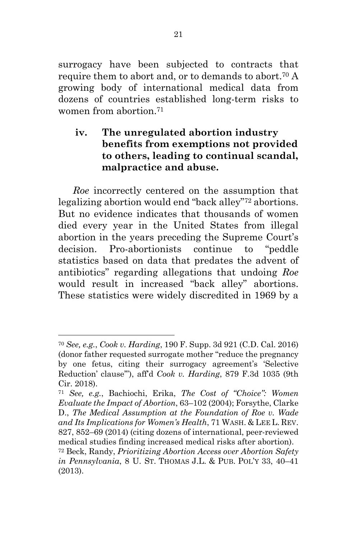surrogacy have been subjected to contracts that require them to abort and, or to demands to abort.<sup>70</sup> A growing body of international medical data from dozens of countries established long-term risks to women from abortion<sup>71</sup>

# **iv. The unregulated abortion industry benefits from exemptions not provided to others, leading to continual scandal, malpractice and abuse.**

*Roe* incorrectly centered on the assumption that legalizing abortion would end "back alley"72 abortions. But no evidence indicates that thousands of women died every year in the United States from illegal abortion in the years preceding the Supreme Court's decision. Pro-abortionists continue to "peddle statistics based on data that predates the advent of antibiotics" regarding allegations that undoing *Roe* would result in increased "back alley" abortions. These statistics were widely discredited in 1969 by a

<sup>70</sup> *See, e.g.*, *Cook v. Harding*, 190 F. Supp. 3d 921 (C.D. Cal. 2016) (donor father requested surrogate mother "reduce the pregnancy by one fetus, citing their surrogacy agreement's 'Selective Reduction' clause'"), aff'd *Cook v. Harding*, 879 F.3d 1035 (9th Cir. 2018).

<sup>71</sup> *See, e.g.*, Bachiochi, Erika, *The Cost of "Choice": Women Evaluate the Impact of Abortion*, 63–102 (2004); Forsythe, Clarke D., *The Medical Assumption at the Foundation of Roe v. Wade and Its Implications for Women's Health*, 71 WASH. & LEE L. REV. 827, 852–69 (2014) (citing dozens of international, peer-reviewed medical studies finding increased medical risks after abortion).

<sup>72</sup> Beck, Randy, *Prioritizing Abortion Access over Abortion Safety in Pennsylvania*, 8 U. ST. THOMAS J.L. & PUB. POL'Y 33, 40–41 (2013).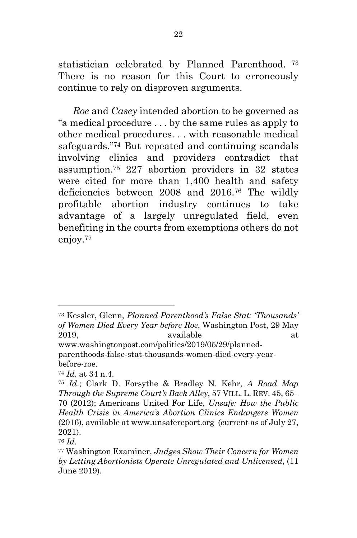statistician celebrated by Planned Parenthood. <sup>73</sup> There is no reason for this Court to erroneously continue to rely on disproven arguments.

*Roe* and *Casey* intended abortion to be governed as "a medical procedure . . . by the same rules as apply to other medical procedures. . . with reasonable medical safeguards."74 But repeated and continuing scandals involving clinics and providers contradict that assumption.75 227 abortion providers in 32 states were cited for more than 1,400 health and safety deficiencies between 2008 and 2016.76 The wildly profitable abortion industry continues to take advantage of a largely unregulated field, even benefiting in the courts from exemptions others do not enjoy.<sup>77</sup>

<sup>73</sup> Kessler, Glenn, *Planned Parenthood's False Stat: 'Thousands' of Women Died Every Year before Roe*, Washington Post, 29 May 2019, available at a state at a state at a state and a state at a state at a state at a state at a state at a state at a state at a state at a state at a state at a state at a state at a state at a state at a state at a st

www.washingtonpost.com/politics/2019/05/29/plannedparenthoods-false-stat-thousands-women-died-every-yearbefore-roe.

<sup>74</sup> *Id*. at 34 n.4.

<sup>75</sup> *Id*.; Clark D. Forsythe & Bradley N. Kehr, *A Road Map Through the Supreme Court's Back Alley*, 57 VILL. L. REV. 45, 65– 70 (2012); Americans United For Life, *Unsafe: How the Public Health Crisis in America's Abortion Clinics Endangers Women* (2016), available at www.unsafereport.org (current as of July 27, 2021).

<sup>76</sup> *Id*. 77 Washington Examiner, *Judges Show Their Concern for Women by Letting Abortionists Operate Unregulated and Unlicensed*, (11 June 2019).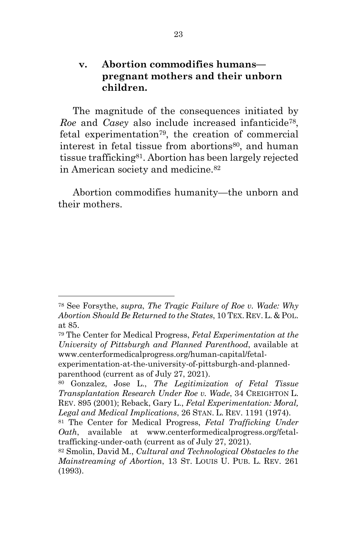### **v. Abortion commodifies humans pregnant mothers and their unborn children.**

The magnitude of the consequences initiated by *Roe* and *Casey* also include increased infanticide78, fetal experimentation79, the creation of commercial interest in fetal tissue from abortions<sup>80</sup>, and human tissue trafficking81. Abortion has been largely rejected in American society and medicine.<sup>82</sup>

Abortion commodifies humanity—the unborn and their mothers.

<sup>78</sup> See Forsythe, *supra*, *The Tragic Failure of Roe v. Wade: Why Abortion Should Be Returned to the States*, 10 TEX. REV.L. & POL. at 85.

<sup>79</sup> The Center for Medical Progress, *Fetal Experimentation at the University of Pittsburgh and Planned Parenthood*, available at www.centerformedicalprogress.org/human-capital/fetal-

experimentation-at-the-university-of-pittsburgh-and-plannedparenthood (current as of July 27, 2021).

<sup>80</sup> Gonzalez, Jose L., *The Legitimization of Fetal Tissue Transplantation Research Under Roe v. Wade*, 34 CREIGHTON L. REV. 895 (2001); Reback, Gary L., *Fetal Experimentation: Moral, Legal and Medical Implications*, 26 STAN. L. REV. 1191 (1974).

<sup>81</sup> The Center for Medical Progress, *Fetal Trafficking Under Oath*, available at www.centerformedicalprogress.org/fetaltrafficking-under-oath (current as of July 27, 2021).

<sup>82</sup> Smolin, David M., *Cultural and Technological Obstacles to the Mainstreaming of Abortion*, 13 ST. LOUIS U. PUB. L. REV. 261 (1993).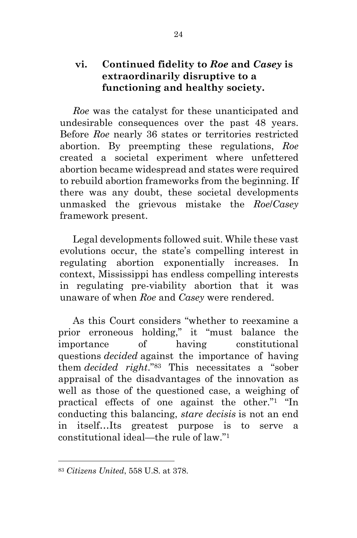# **vi. Continued fidelity to** *Roe* **and** *Casey* **is extraordinarily disruptive to a functioning and healthy society.**

*Roe* was the catalyst for these unanticipated and undesirable consequences over the past 48 years. Before *Roe* nearly 36 states or territories restricted abortion. By preempting these regulations, *Roe* created a societal experiment where unfettered abortion became widespread and states were required to rebuild abortion frameworks from the beginning. If there was any doubt, these societal developments unmasked the grievous mistake the *Roe*/*Casey* framework present.

Legal developments followed suit. While these vast evolutions occur, the state's compelling interest in regulating abortion exponentially increases. In context, Mississippi has endless compelling interests in regulating pre-viability abortion that it was unaware of when *Roe* and *Casey* were rendered.

As this Court considers "whether to reexamine a prior erroneous holding," it "must balance the importance of having constitutional questions *decided* against the importance of having them *decided right*."83 This necessitates a "sober appraisal of the disadvantages of the innovation as well as those of the questioned case, a weighing of practical effects of one against the other."1 "In conducting this balancing, *stare decisis* is not an end in itself…Its greatest purpose is to serve a constitutional ideal—the rule of law."1

<sup>83</sup> *Citizens United*, 558 U.S. at 378.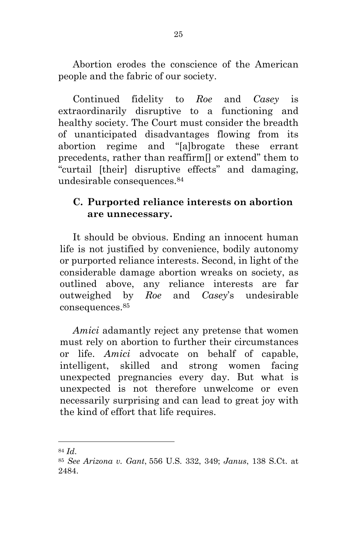Abortion erodes the conscience of the American people and the fabric of our society.

Continued fidelity to *Roe* and *Casey* is extraordinarily disruptive to a functioning and healthy society. The Court must consider the breadth of unanticipated disadvantages flowing from its abortion regime and "[a]brogate these errant precedents, rather than reaffirm[] or extend" them to "curtail [their] disruptive effects" and damaging, undesirable consequences.<sup>84</sup>

### **C. Purported reliance interests on abortion are unnecessary.**

It should be obvious. Ending an innocent human life is not justified by convenience, bodily autonomy or purported reliance interests. Second, in light of the considerable damage abortion wreaks on society, as outlined above, any reliance interests are far outweighed by *Roe* and *Casey*'s undesirable consequences.85

*Amici* adamantly reject any pretense that women must rely on abortion to further their circumstances or life. *Amici* advocate on behalf of capable, intelligent, skilled and strong women facing unexpected pregnancies every day. But what is unexpected is not therefore unwelcome or even necessarily surprising and can lead to great joy with the kind of effort that life requires.

<sup>84</sup> *Id*. 85 *See Arizona v. Gant*, 556 U.S. 332, 349; *Janus*, 138 S.Ct. at 2484.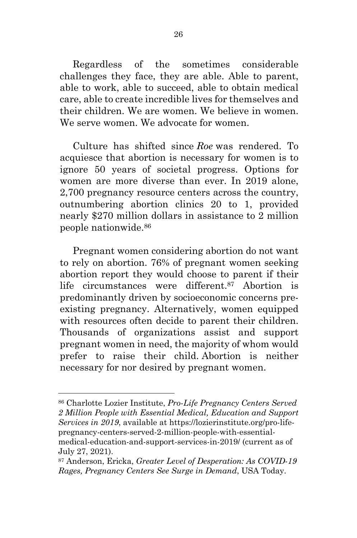Regardless of the sometimes considerable challenges they face, they are able. Able to parent, able to work, able to succeed, able to obtain medical care, able to create incredible lives for themselves and their children. We are women. We believe in women. We serve women. We advocate for women.

Culture has shifted since *Roe* was rendered. To acquiesce that abortion is necessary for women is to ignore 50 years of societal progress. Options for women are more diverse than ever. In 2019 alone, 2,700 pregnancy resource centers across the country, outnumbering abortion clinics 20 to 1, provided nearly \$270 million dollars in assistance to 2 million people nationwide.86

Pregnant women considering abortion do not want to rely on abortion. 76% of pregnant women seeking abortion report they would choose to parent if their life circumstances were different.87 Abortion is predominantly driven by socioeconomic concerns preexisting pregnancy. Alternatively, women equipped with resources often decide to parent their children. Thousands of organizations assist and support pregnant women in need, the majority of whom would prefer to raise their child. Abortion is neither necessary for nor desired by pregnant women.

<sup>86</sup> Charlotte Lozier Institute, *Pro-Life Pregnancy Centers Served 2 Million People with Essential Medical, Education and Support Services in 2019*, available at https://lozierinstitute.org/pro-lifepregnancy-centers-served-2-million-people-with-essentialmedical-education-and-support-services-in-2019/ (current as of July 27, 2021).

<sup>87</sup> Anderson, Ericka, *Greater Level of Desperation: As COVID-19 Rages, Pregnancy Centers See Surge in Demand*, USA Today.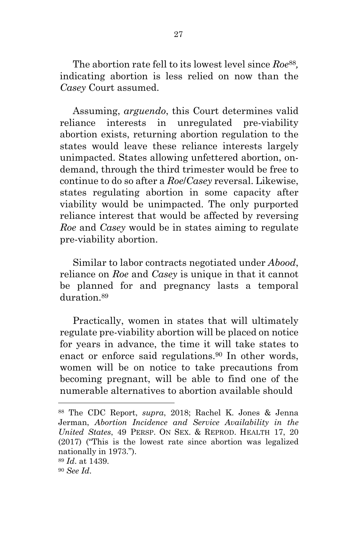The abortion rate fell to its lowest level since *Roe*88*,* indicating abortion is less relied on now than the *Casey* Court assumed.

Assuming, *arguendo*, this Court determines valid reliance interests in unregulated pre-viability abortion exists, returning abortion regulation to the states would leave these reliance interests largely unimpacted. States allowing unfettered abortion, ondemand, through the third trimester would be free to continue to do so after a *Roe*/*Casey* reversal. Likewise, states regulating abortion in some capacity after viability would be unimpacted. The only purported reliance interest that would be affected by reversing *Roe* and *Casey* would be in states aiming to regulate pre-viability abortion.

Similar to labor contracts negotiated under *Abood*, reliance on *Roe* and *Casey* is unique in that it cannot be planned for and pregnancy lasts a temporal duration 89

Practically, women in states that will ultimately regulate pre-viability abortion will be placed on notice for years in advance, the time it will take states to enact or enforce said regulations.<sup>90</sup> In other words, women will be on notice to take precautions from becoming pregnant, will be able to find one of the numerable alternatives to abortion available should

<sup>88</sup> The CDC Report, *supra*, 2018; Rachel K. Jones & Jenna Jerman, *Abortion Incidence and Service Availability in the United States*, 49 PERSP. ON SEX. & REPROD. HEALTH 17, 20 (2017) ("This is the lowest rate since abortion was legalized nationally in 1973.").

<sup>89</sup> *Id*. at 1439.

<sup>90</sup> *See Id*.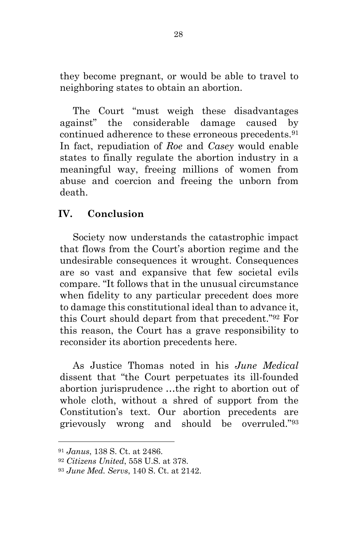they become pregnant, or would be able to travel to neighboring states to obtain an abortion.

The Court "must weigh these disadvantages against" the considerable damage caused by continued adherence to these erroneous precedents.91 In fact, repudiation of *Roe* and *Casey* would enable states to finally regulate the abortion industry in a meaningful way, freeing millions of women from abuse and coercion and freeing the unborn from death.

## **IV. Conclusion**

Society now understands the catastrophic impact that flows from the Court's abortion regime and the undesirable consequences it wrought. Consequences are so vast and expansive that few societal evils compare. "It follows that in the unusual circumstance when fidelity to any particular precedent does more to damage this constitutional ideal than to advance it, this Court should depart from that precedent."92 For this reason, the Court has a grave responsibility to reconsider its abortion precedents here.

As Justice Thomas noted in his *June Medical*  dissent that "the Court perpetuates its ill-founded abortion jurisprudence …the right to abortion out of whole cloth, without a shred of support from the Constitution's text. Our abortion precedents are grievously wrong and should be overruled."93

<sup>91</sup> *Janus*, 138 S. Ct. at 2486.

<sup>92</sup> *Citizens United*, 558 U.S. at 378.

<sup>93</sup> *June Med. Servs*, 140 S. Ct. at 2142.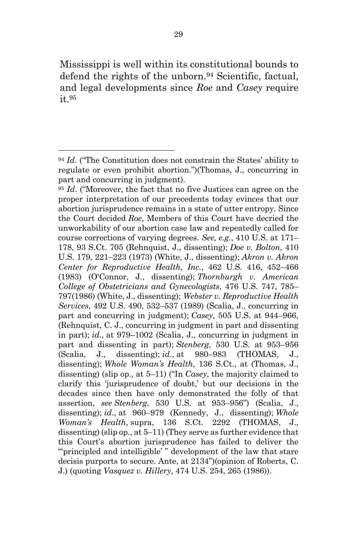Mississippi is well within its constitutional bounds to defend the rights of the unborn.<sup>94</sup> Scientific, factual, and legal developments since *Roe* and *Casey* require it.95

<sup>95</sup> *Id*. ("Moreover, the fact that no five Justices can agree on the proper interpretation of our precedents today evinces that our abortion jurisprudence remains in a state of utter entropy. Since the Court decided *Roe*, Members of this Court have decried the unworkability of our abortion case law and repeatedly called for course corrections of varying degrees. *See, e.g.*, 410 U.S. at 171– 178, 93 S.Ct. 705 (Rehnquist, J., dissenting); *Doe v. Bolton*, 410 U.S. 179, 221–223 (1973) (White, J., dissenting); *Akron v. Akron Center for Reproductive Health, Inc.*, 462 U.S. 416, 452–466 (1983) (O'Connor, J., dissenting); *Thornburgh v. American College of Obstetricians and Gynecologists*, 476 U.S. 747, 785– 797(1986) (White, J., dissenting); *Webster v. Reproductive Health Services*, 492 U.S. 490, 532–537 (1989) (Scalia, J., concurring in part and concurring in judgment); *Casey*, 505 U.S. at 944–966, (Rehnquist, C. J., concurring in judgment in part and dissenting in part); *id*., at 979–1002 (Scalia, J., concurring in judgment in part and dissenting in part); *Stenberg*, 530 U.S. at 953–956 (Scalia, J., dissenting); *id*., at 980–983 (THOMAS, J., dissenting); *Whole Woman's Health*, 136 S.Ct., at (Thomas, J., dissenting) (slip op., at 5–11) ("In *Casey*, the majority claimed to clarify this 'jurisprudence of doubt,' but our decisions in the decades since then have only demonstrated the folly of that assertion, *see Stenberg*, 530 U.S. at 953–956") (Scalia, J., dissenting); *id*., at 960–979 (Kennedy, J., dissenting); *Whole Woman's Health*, supra, 136 S.Ct. 2292 (THOMAS, J., dissenting) (slip op., at 5–11) (They serve as further evidence that this Court's abortion jurisprudence has failed to deliver the ""principled and intelligible'" development of the law that stare decisis purports to secure. Ante, at 2134")(opinion of Roberts, C. J.) (quoting *Vasquez v. Hillery*, 474 U.S. 254, 265 (1986)).

<sup>94</sup> *Id*. ("The Constitution does not constrain the States' ability to regulate or even prohibit abortion.")(Thomas, J., concurring in part and concurring in judgment).